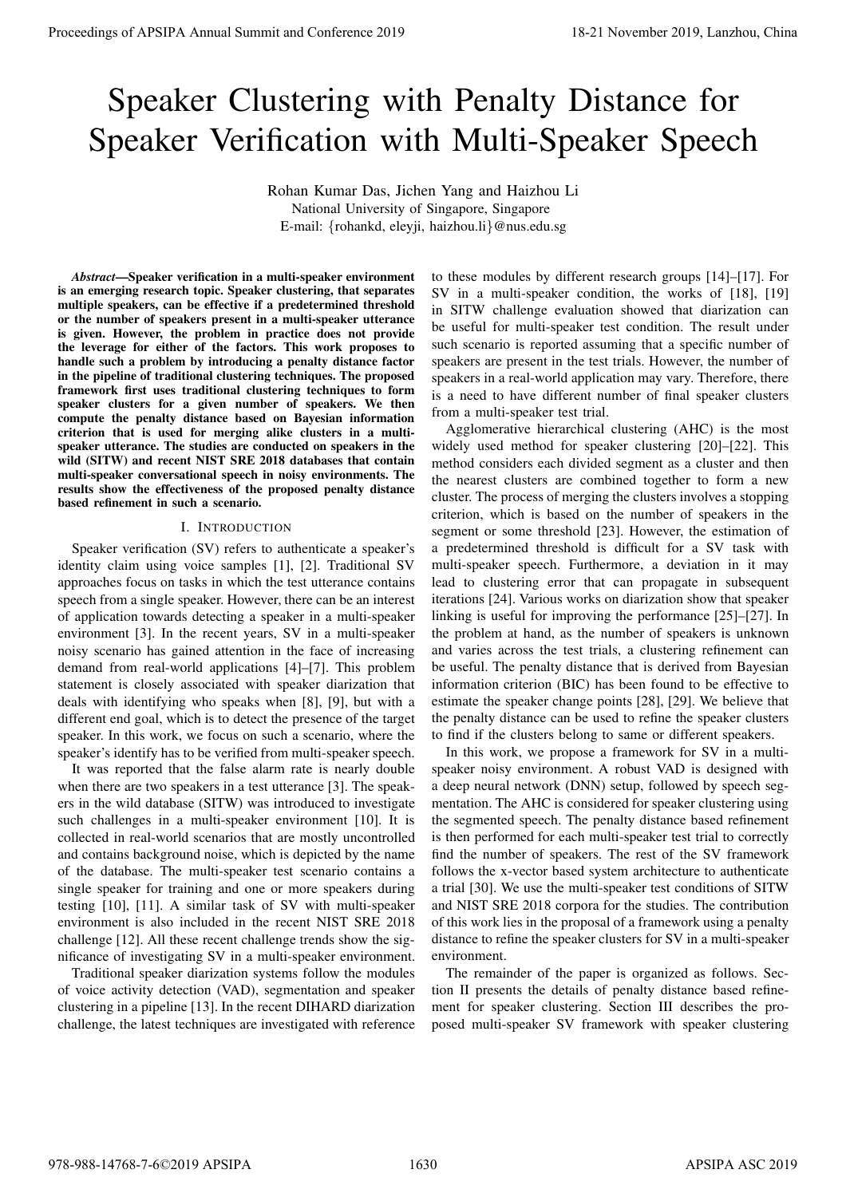# Speaker Clustering with Penalty Distance for Speaker Verification with Multi-Speaker Speech

Rohan Kumar Das, Jichen Yang and Haizhou Li National University of Singapore, Singapore E-mail: {rohankd, eleyji, haizhou.li}@nus.edu.sg

*Abstract*—Speaker verification in a multi-speaker environment is an emerging research topic. Speaker clustering, that separates multiple speakers, can be effective if a predetermined threshold or the number of speakers present in a multi-speaker utterance is given. However, the problem in practice does not provide the leverage for either of the factors. This work proposes to handle such a problem by introducing a penalty distance factor in the pipeline of traditional clustering techniques. The proposed framework first uses traditional clustering techniques to form speaker clusters for a given number of speakers. We then compute the penalty distance based on Bayesian information criterion that is used for merging alike clusters in a multispeaker utterance. The studies are conducted on speakers in the wild (SITW) and recent NIST SRE 2018 databases that contain multi-speaker conversational speech in noisy environments. The results show the effectiveness of the proposed penalty distance based refinement in such a scenario.

## I. INTRODUCTION

Speaker verification (SV) refers to authenticate a speaker's identity claim using voice samples [1], [2]. Traditional SV approaches focus on tasks in which the test utterance contains speech from a single speaker. However, there can be an interest of application towards detecting a speaker in a multi-speaker environment [3]. In the recent years, SV in a multi-speaker noisy scenario has gained attention in the face of increasing demand from real-world applications [4]–[7]. This problem statement is closely associated with speaker diarization that deals with identifying who speaks when [8], [9], but with a different end goal, which is to detect the presence of the target speaker. In this work, we focus on such a scenario, where the speaker's identify has to be verified from multi-speaker speech.

It was reported that the false alarm rate is nearly double when there are two speakers in a test utterance [3]. The speakers in the wild database (SITW) was introduced to investigate such challenges in a multi-speaker environment [10]. It is collected in real-world scenarios that are mostly uncontrolled and contains background noise, which is depicted by the name of the database. The multi-speaker test scenario contains a single speaker for training and one or more speakers during testing [10], [11]. A similar task of SV with multi-speaker environment is also included in the recent NIST SRE 2018 challenge [12]. All these recent challenge trends show the significance of investigating SV in a multi-speaker environment.

Traditional speaker diarization systems follow the modules of voice activity detection (VAD), segmentation and speaker clustering in a pipeline [13]. In the recent DIHARD diarization challenge, the latest techniques are investigated with reference to these modules by different research groups [14]–[17]. For SV in a multi-speaker condition, the works of [18], [19] in SITW challenge evaluation showed that diarization can be useful for multi-speaker test condition. The result under such scenario is reported assuming that a specific number of speakers are present in the test trials. However, the number of speakers in a real-world application may vary. Therefore, there is a need to have different number of final speaker clusters from a multi-speaker test trial.

Agglomerative hierarchical clustering (AHC) is the most widely used method for speaker clustering [20]–[22]. This method considers each divided segment as a cluster and then the nearest clusters are combined together to form a new cluster. The process of merging the clusters involves a stopping criterion, which is based on the number of speakers in the segment or some threshold [23]. However, the estimation of a predetermined threshold is difficult for a SV task with multi-speaker speech. Furthermore, a deviation in it may lead to clustering error that can propagate in subsequent iterations [24]. Various works on diarization show that speaker linking is useful for improving the performance [25]–[27]. In the problem at hand, as the number of speakers is unknown and varies across the test trials, a clustering refinement can be useful. The penalty distance that is derived from Bayesian information criterion (BIC) has been found to be effective to estimate the speaker change points [28], [29]. We believe that the penalty distance can be used to refine the speaker clusters to find if the clusters belong to same or different speakers. **Proceedings of APSIPA Annual Summit and Conference 2019**<br>
Speaker Clustering with Penalty Distance for Conference 2019<br>
From Speaker Meridian Conference 2019<br>
From Speaker Meridian Conference 2019<br>
From Speaker Meridian

In this work, we propose a framework for SV in a multispeaker noisy environment. A robust VAD is designed with a deep neural network (DNN) setup, followed by speech segmentation. The AHC is considered for speaker clustering using the segmented speech. The penalty distance based refinement is then performed for each multi-speaker test trial to correctly find the number of speakers. The rest of the SV framework follows the x-vector based system architecture to authenticate a trial [30]. We use the multi-speaker test conditions of SITW and NIST SRE 2018 corpora for the studies. The contribution of this work lies in the proposal of a framework using a penalty distance to refine the speaker clusters for SV in a multi-speaker environment.

The remainder of the paper is organized as follows. Section II presents the details of penalty distance based refinement for speaker clustering. Section III describes the proposed multi-speaker SV framework with speaker clustering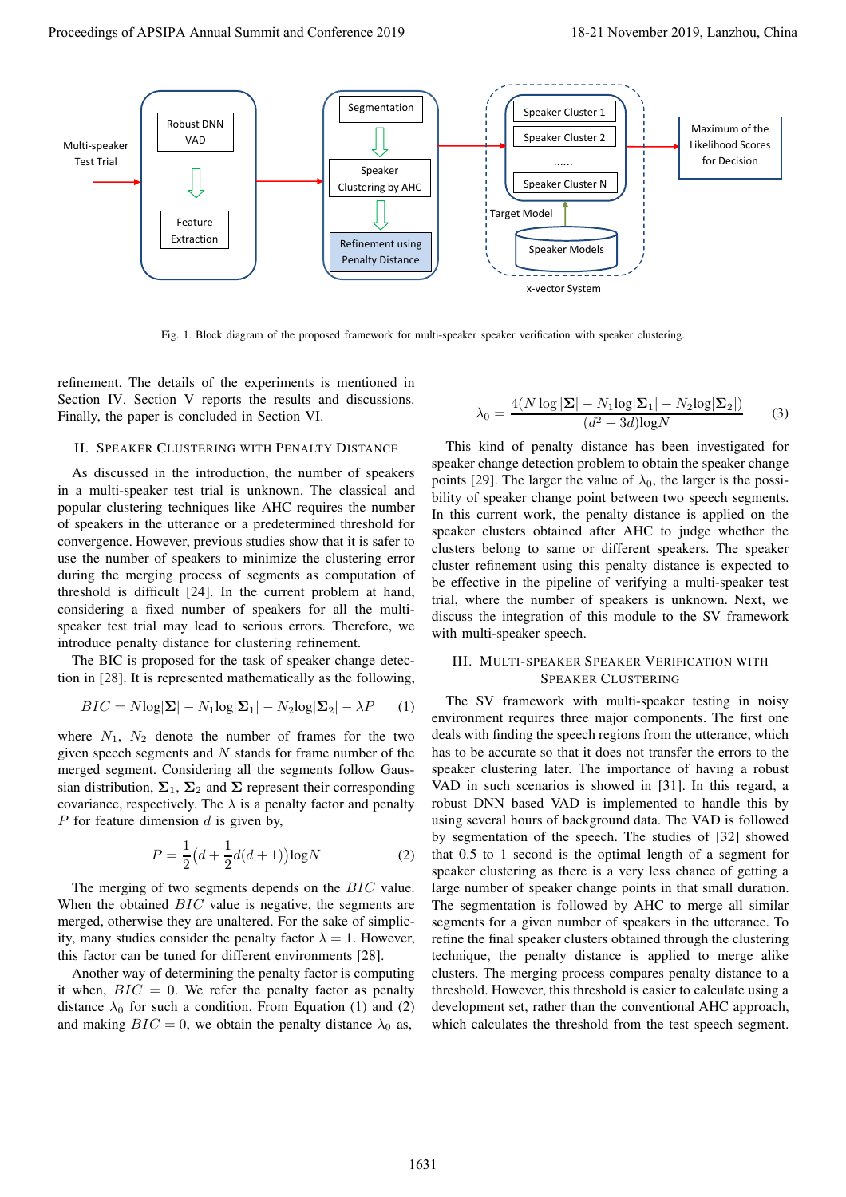

Fig. 1. Block diagram of the proposed framework for multi-speaker speaker verification with speaker clustering.

refinement. The details of the experiments is mentioned in Section IV. Section V reports the results and discussions. Finally, the paper is concluded in Section VI.

## II. SPEAKER CLUSTERING WITH PENALTY DISTANCE

As discussed in the introduction, the number of speakers in a multi-speaker test trial is unknown. The classical and popular clustering techniques like AHC requires the number of speakers in the utterance or a predetermined threshold for convergence. However, previous studies show that it is safer to use the number of speakers to minimize the clustering error during the merging process of segments as computation of threshold is difficult [24]. In the current problem at hand, considering a fixed number of speakers for all the multispeaker test trial may lead to serious errors. Therefore, we introduce penalty distance for clustering refinement.

The BIC is proposed for the task of speaker change detection in [28]. It is represented mathematically as the following,

$$
BIC = N \log |\mathbf{\Sigma}| - N_1 \log |\mathbf{\Sigma}_1| - N_2 \log |\mathbf{\Sigma}_2| - \lambda P \qquad (1)
$$

where  $N_1$ ,  $N_2$  denote the number of frames for the two given speech segments and  $N$  stands for frame number of the merged segment. Considering all the segments follow Gaussian distribution,  $\Sigma_1$ ,  $\Sigma_2$  and  $\Sigma$  represent their corresponding covariance, respectively. The  $\lambda$  is a penalty factor and penalty P for feature dimension  $d$  is given by,

$$
P = \frac{1}{2} \left( d + \frac{1}{2} d(d+1) \right) \log N \tag{2}
$$

The merging of two segments depends on the BIC value. When the obtained *BIC* value is negative, the segments are merged, otherwise they are unaltered. For the sake of simplicity, many studies consider the penalty factor  $\lambda = 1$ . However, this factor can be tuned for different environments [28].

Another way of determining the penalty factor is computing it when,  $BIC = 0$ . We refer the penalty factor as penalty distance  $\lambda_0$  for such a condition. From Equation (1) and (2) and making  $BIC = 0$ , we obtain the penalty distance  $\lambda_0$  as,

$$
\lambda_0 = \frac{4(N \log |\mathbf{\Sigma}| - N_1 \log |\mathbf{\Sigma}_1| - N_2 \log |\mathbf{\Sigma}_2|)}{(d^2 + 3d)\log N} \tag{3}
$$

This kind of penalty distance has been investigated for speaker change detection problem to obtain the speaker change points [29]. The larger the value of  $\lambda_0$ , the larger is the possibility of speaker change point between two speech segments. In this current work, the penalty distance is applied on the speaker clusters obtained after AHC to judge whether the clusters belong to same or different speakers. The speaker cluster refinement using this penalty distance is expected to be effective in the pipeline of verifying a multi-speaker test trial, where the number of speakers is unknown. Next, we discuss the integration of this module to the SV framework with multi-speaker speech.

## III. MULTI-SPEAKER SPEAKER VERIFICATION WITH SPEAKER CLUSTERING

The SV framework with multi-speaker testing in noisy environment requires three major components. The first one deals with finding the speech regions from the utterance, which has to be accurate so that it does not transfer the errors to the speaker clustering later. The importance of having a robust VAD in such scenarios is showed in [31]. In this regard, a robust DNN based VAD is implemented to handle this by using several hours of background data. The VAD is followed by segmentation of the speech. The studies of [32] showed that 0.5 to 1 second is the optimal length of a segment for speaker clustering as there is a very less chance of getting a large number of speaker change points in that small duration. The segmentation is followed by AHC to merge all similar segments for a given number of speakers in the utterance. To refine the final speaker clusters obtained through the clustering technique, the penalty distance is applied to merge alike clusters. The merging process compares penalty distance to a threshold. However, this threshold is easier to calculate using a development set, rather than the conventional AHC approach, which calculates the threshold from the test speech segment.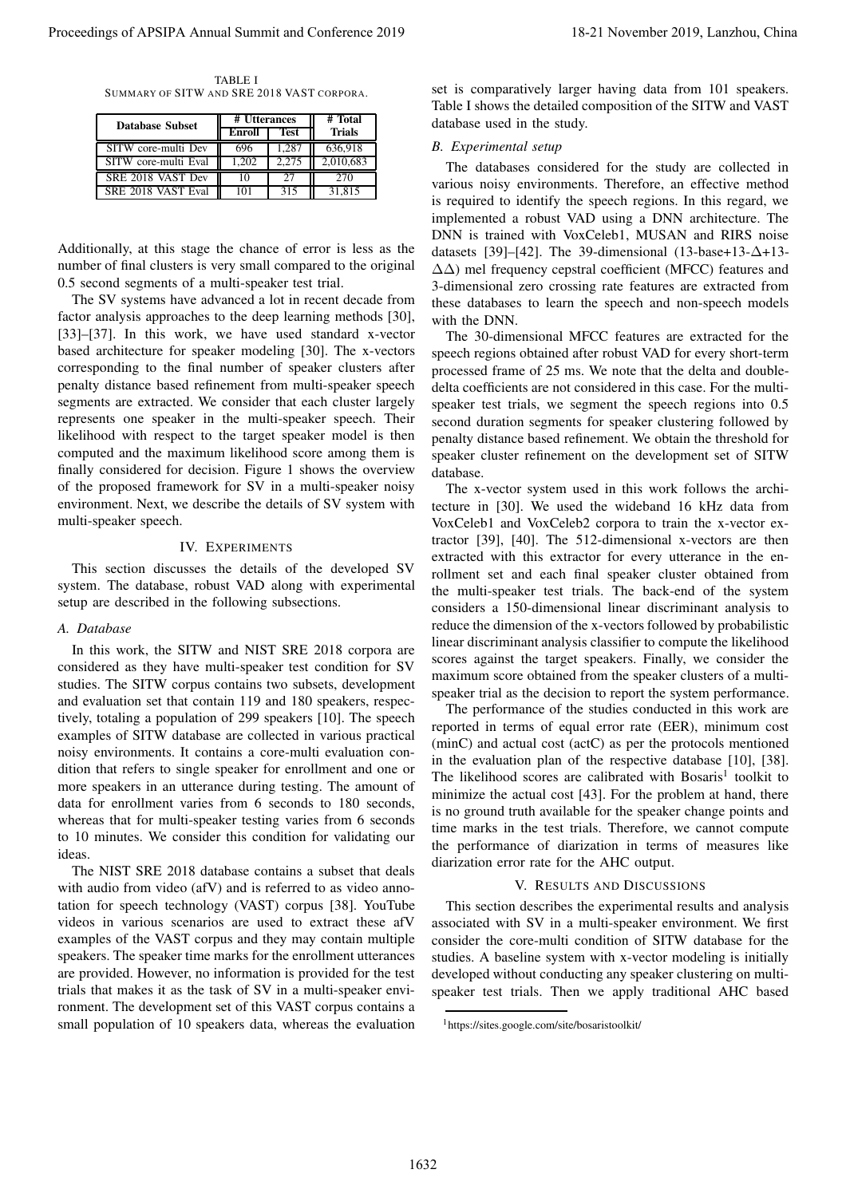TABLE I SUMMARY OF SITW AND SRE 2018 VAST CORPORA.

| <b>Database Subset</b> | # Utterances | # Total     |               |
|------------------------|--------------|-------------|---------------|
|                        | Enroll       | <b>Test</b> | <b>Trials</b> |
| SITW core-multi Dev    | 696          | 1.287       | 636,918       |
| SITW core-multi Eval   | 1.202        | 2.275       | 2,010,683     |
| SRE 2018 VAST Dev      | 10           | 27          | 270           |
| SRE 2018 VAST Eval     | 101          | 315         | 31.815        |

Additionally, at this stage the chance of error is less as the number of final clusters is very small compared to the original 0.5 second segments of a multi-speaker test trial.

The SV systems have advanced a lot in recent decade from factor analysis approaches to the deep learning methods [30], [33]–[37]. In this work, we have used standard x-vector based architecture for speaker modeling [30]. The x-vectors corresponding to the final number of speaker clusters after penalty distance based refinement from multi-speaker speech segments are extracted. We consider that each cluster largely represents one speaker in the multi-speaker speech. Their likelihood with respect to the target speaker model is then computed and the maximum likelihood score among them is finally considered for decision. Figure 1 shows the overview of the proposed framework for SV in a multi-speaker noisy environment. Next, we describe the details of SV system with multi-speaker speech. Proceeding of APSIPA Annual Summit and Conference 2019<br>
Concerne and Conference 2019, Lanzhou (1930) and Conference 2019<br>
Conference 2019, Lanzhou (1930) and Conference 2019<br>
Conference 2019, Lanzhou (1930) and Conference

#### IV. EXPERIMENTS

This section discusses the details of the developed SV system. The database, robust VAD along with experimental setup are described in the following subsections.

## *A. Database*

In this work, the SITW and NIST SRE 2018 corpora are considered as they have multi-speaker test condition for SV studies. The SITW corpus contains two subsets, development and evaluation set that contain 119 and 180 speakers, respectively, totaling a population of 299 speakers [10]. The speech examples of SITW database are collected in various practical noisy environments. It contains a core-multi evaluation condition that refers to single speaker for enrollment and one or more speakers in an utterance during testing. The amount of data for enrollment varies from 6 seconds to 180 seconds, whereas that for multi-speaker testing varies from 6 seconds to 10 minutes. We consider this condition for validating our ideas.

The NIST SRE 2018 database contains a subset that deals with audio from video (afV) and is referred to as video annotation for speech technology (VAST) corpus [38]. YouTube videos in various scenarios are used to extract these afV examples of the VAST corpus and they may contain multiple speakers. The speaker time marks for the enrollment utterances are provided. However, no information is provided for the test trials that makes it as the task of SV in a multi-speaker environment. The development set of this VAST corpus contains a small population of 10 speakers data, whereas the evaluation set is comparatively larger having data from 101 speakers. Table I shows the detailed composition of the SITW and VAST database used in the study.

## *B. Experimental setup*

The databases considered for the study are collected in various noisy environments. Therefore, an effective method is required to identify the speech regions. In this regard, we implemented a robust VAD using a DNN architecture. The DNN is trained with VoxCeleb1, MUSAN and RIRS noise datasets [39]–[42]. The 39-dimensional (13-base+13-∆+13- ∆∆) mel frequency cepstral coefficient (MFCC) features and 3-dimensional zero crossing rate features are extracted from these databases to learn the speech and non-speech models with the DNN.

The 30-dimensional MFCC features are extracted for the speech regions obtained after robust VAD for every short-term processed frame of 25 ms. We note that the delta and doubledelta coefficients are not considered in this case. For the multispeaker test trials, we segment the speech regions into 0.5 second duration segments for speaker clustering followed by penalty distance based refinement. We obtain the threshold for speaker cluster refinement on the development set of SITW database.

The x-vector system used in this work follows the architecture in [30]. We used the wideband 16 kHz data from VoxCeleb1 and VoxCeleb2 corpora to train the x-vector extractor [39], [40]. The 512-dimensional x-vectors are then extracted with this extractor for every utterance in the enrollment set and each final speaker cluster obtained from the multi-speaker test trials. The back-end of the system considers a 150-dimensional linear discriminant analysis to reduce the dimension of the x-vectors followed by probabilistic linear discriminant analysis classifier to compute the likelihood scores against the target speakers. Finally, we consider the maximum score obtained from the speaker clusters of a multispeaker trial as the decision to report the system performance.

The performance of the studies conducted in this work are reported in terms of equal error rate (EER), minimum cost (minC) and actual cost (actC) as per the protocols mentioned in the evaluation plan of the respective database [10], [38]. The likelihood scores are calibrated with Bosaris<sup>1</sup> toolkit to minimize the actual cost [43]. For the problem at hand, there is no ground truth available for the speaker change points and time marks in the test trials. Therefore, we cannot compute the performance of diarization in terms of measures like diarization error rate for the AHC output.

### V. RESULTS AND DISCUSSIONS

This section describes the experimental results and analysis associated with SV in a multi-speaker environment. We first consider the core-multi condition of SITW database for the studies. A baseline system with x-vector modeling is initially developed without conducting any speaker clustering on multispeaker test trials. Then we apply traditional AHC based

<sup>1</sup>https://sites.google.com/site/bosaristoolkit/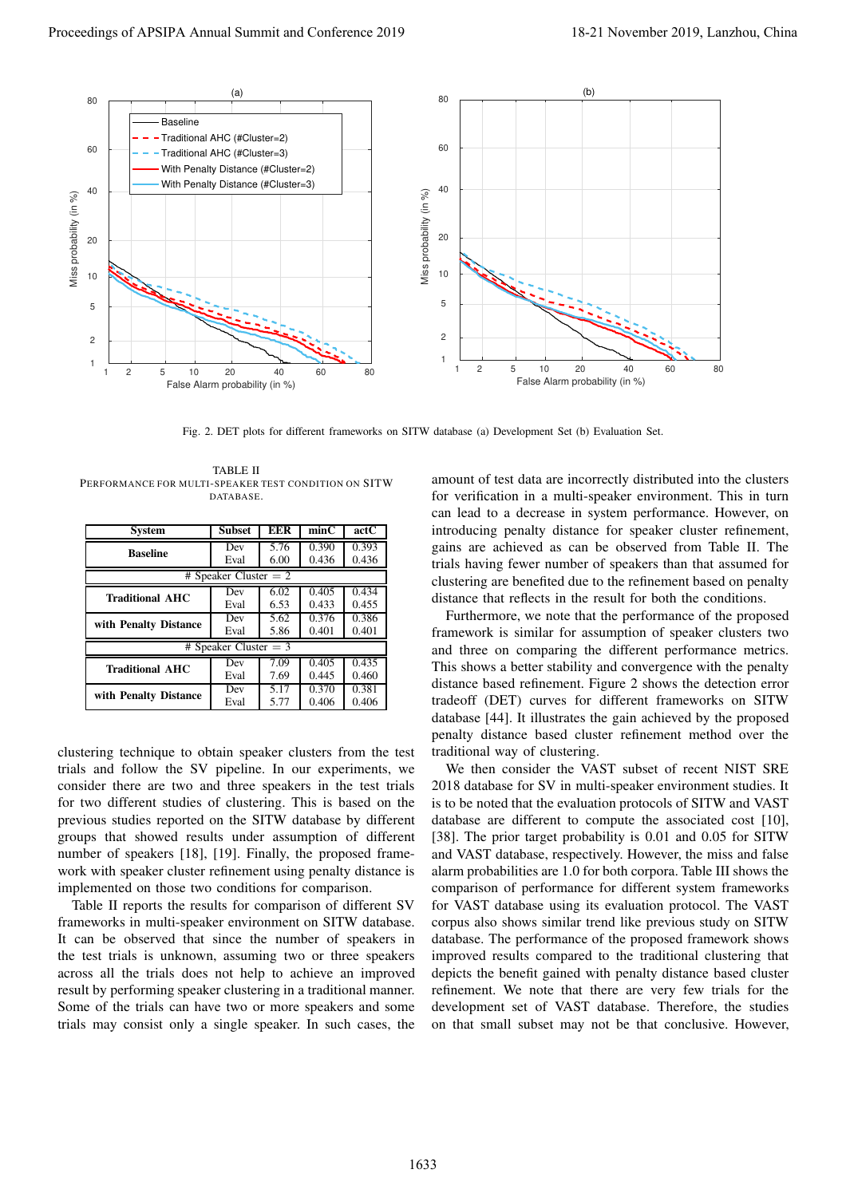

Fig. 2. DET plots for different frameworks on SITW database (a) Development Set (b) Evaluation Set.

TABLE II PERFORMANCE FOR MULTI-SPEAKER TEST CONDITION ON SITW **DATABASE** 

| <b>System</b>           | <b>Subset</b> | EER  | minC  | actC  |  |  |
|-------------------------|---------------|------|-------|-------|--|--|
| <b>Baseline</b>         | Dev           | 5.76 | 0.390 | 0.393 |  |  |
|                         | Eval          | 6.00 | 0.436 | 0.436 |  |  |
| # Speaker Cluster $= 2$ |               |      |       |       |  |  |
| <b>Traditional AHC</b>  | Dev           | 6.02 | 0.405 | 0.434 |  |  |
|                         | Eval          | 6.53 | 0.433 | 0.455 |  |  |
| with Penalty Distance   | Dev           | 5.62 | 0.376 | 0.386 |  |  |
|                         | Eval          | 5.86 | 0.401 | 0.401 |  |  |
| # Speaker Cluster $=$ 3 |               |      |       |       |  |  |
| <b>Traditional AHC</b>  | Dev           | 7.09 | 0.405 | 0.435 |  |  |
|                         | Eval          | 7.69 | 0.445 | 0.460 |  |  |
| with Penalty Distance   | Dev           | 5.17 | 0.370 | 0.381 |  |  |
|                         | Eval          | 5.77 | 0.406 | 0.406 |  |  |

clustering technique to obtain speaker clusters from the test trials and follow the SV pipeline. In our experiments, we consider there are two and three speakers in the test trials for two different studies of clustering. This is based on the previous studies reported on the SITW database by different groups that showed results under assumption of different number of speakers [18], [19]. Finally, the proposed framework with speaker cluster refinement using penalty distance is implemented on those two conditions for comparison.

Table II reports the results for comparison of different SV frameworks in multi-speaker environment on SITW database. It can be observed that since the number of speakers in the test trials is unknown, assuming two or three speakers across all the trials does not help to achieve an improved result by performing speaker clustering in a traditional manner. Some of the trials can have two or more speakers and some trials may consist only a single speaker. In such cases, the amount of test data are incorrectly distributed into the clusters for verification in a multi-speaker environment. This in turn can lead to a decrease in system performance. However, on introducing penalty distance for speaker cluster refinement, gains are achieved as can be observed from Table II. The trials having fewer number of speakers than that assumed for clustering are benefited due to the refinement based on penalty distance that reflects in the result for both the conditions.

Furthermore, we note that the performance of the proposed framework is similar for assumption of speaker clusters two and three on comparing the different performance metrics. This shows a better stability and convergence with the penalty distance based refinement. Figure 2 shows the detection error tradeoff (DET) curves for different frameworks on SITW database [44]. It illustrates the gain achieved by the proposed penalty distance based cluster refinement method over the traditional way of clustering.

We then consider the VAST subset of recent NIST SRE 2018 database for SV in multi-speaker environment studies. It is to be noted that the evaluation protocols of SITW and VAST database are different to compute the associated cost [10], [38]. The prior target probability is 0.01 and 0.05 for SITW and VAST database, respectively. However, the miss and false alarm probabilities are 1.0 for both corpora. Table III shows the comparison of performance for different system frameworks for VAST database using its evaluation protocol. The VAST corpus also shows similar trend like previous study on SITW database. The performance of the proposed framework shows improved results compared to the traditional clustering that depicts the benefit gained with penalty distance based cluster refinement. We note that there are very few trials for the development set of VAST database. Therefore, the studies on that small subset may not be that conclusive. However,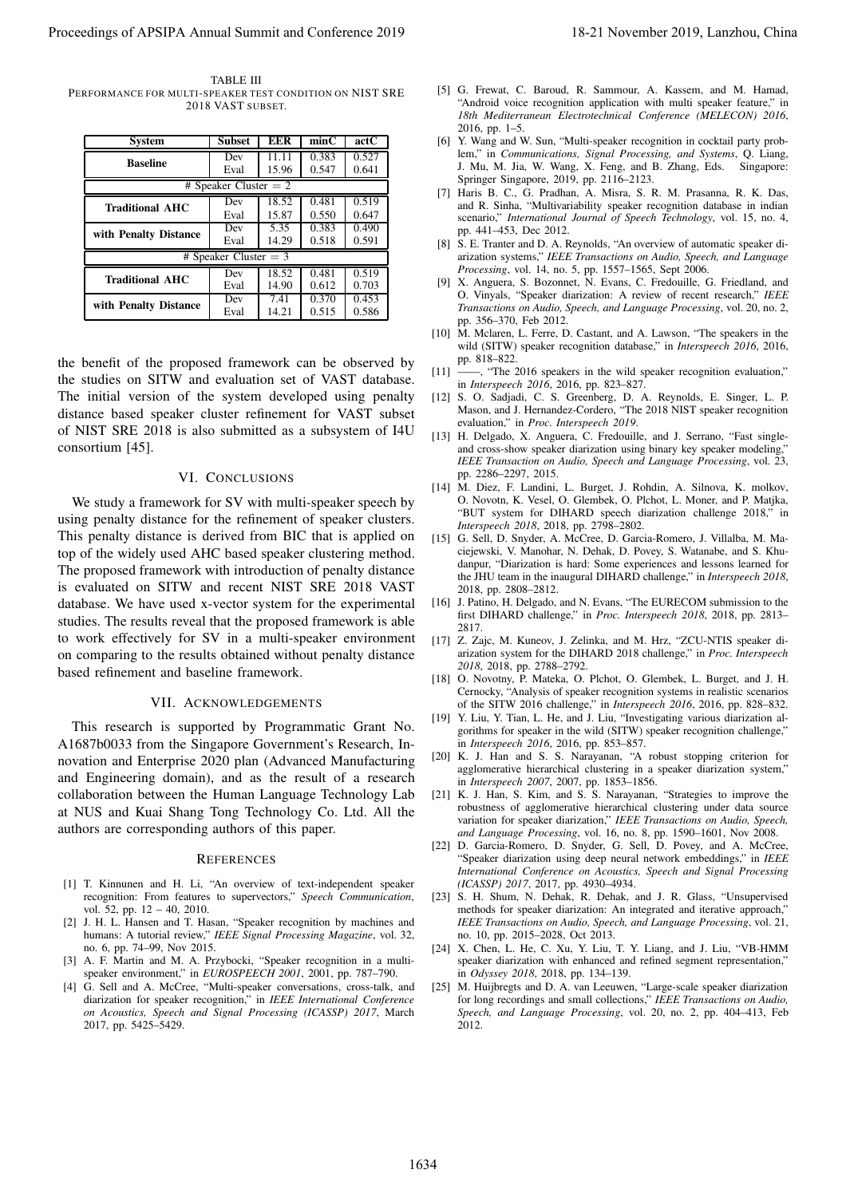TABLE III PERFORMANCE FOR MULTI-SPEAKER TEST CONDITION ON NIST SRE 2018 VAST SUBSET.

| <b>System</b>           | <b>Subset</b> | <b>EER</b> | minC  | actC  |  |  |  |
|-------------------------|---------------|------------|-------|-------|--|--|--|
| <b>Baseline</b>         | Dev           | 11.11      | 0.383 | 0.527 |  |  |  |
|                         | Eval          | 15.96      | 0.547 | 0.641 |  |  |  |
| # Speaker Cluster $= 2$ |               |            |       |       |  |  |  |
| <b>Traditional AHC</b>  | Dev           | 18.52      | 0.481 | 0.519 |  |  |  |
|                         | Eval          | 15.87      | 0.550 | 0.647 |  |  |  |
| with Penalty Distance   | Dev           | 5.35       | 0.383 | 0.490 |  |  |  |
|                         | Eval          | 14.29      | 0.518 | 0.591 |  |  |  |
| # Speaker Cluster $=$ 3 |               |            |       |       |  |  |  |
| <b>Traditional AHC</b>  | Dev           | 18.52      | 0.481 | 0.519 |  |  |  |
|                         | Eval          | 14.90      | 0.612 | 0.703 |  |  |  |
| with Penalty Distance   | Dev           | 7.41       | 0.370 | 0.453 |  |  |  |
|                         | Eval          | 14.21      | 0.515 | 0.586 |  |  |  |

the benefit of the proposed framework can be observed by the studies on SITW and evaluation set of VAST database. The initial version of the system developed using penalty distance based speaker cluster refinement for VAST subset of NIST SRE 2018 is also submitted as a subsystem of I4U consortium [45].

## VI. CONCLUSIONS

We study a framework for SV with multi-speaker speech by using penalty distance for the refinement of speaker clusters. This penalty distance is derived from BIC that is applied on top of the widely used AHC based speaker clustering method. The proposed framework with introduction of penalty distance is evaluated on SITW and recent NIST SRE 2018 VAST database. We have used x-vector system for the experimental studies. The results reveal that the proposed framework is able to work effectively for SV in a multi-speaker environment on comparing to the results obtained without penalty distance based refinement and baseline framework. Proceeding of APSIPA Annual Summit and Conference 2019 18:<br>
The second of European Conference 2019 18:<br>
The second of Conference 2019 18:<br>
The second of Conference 2019 18:<br>
The second of Conference 2019 18:<br>
The second o

### VII. ACKNOWLEDGEMENTS

This research is supported by Programmatic Grant No. A1687b0033 from the Singapore Government's Research, Innovation and Enterprise 2020 plan (Advanced Manufacturing and Engineering domain), and as the result of a research collaboration between the Human Language Technology Lab at NUS and Kuai Shang Tong Technology Co. Ltd. All the authors are corresponding authors of this paper.

#### **REFERENCES**

- [1] T. Kinnunen and H. Li, "An overview of text-independent speaker recognition: From features to supervectors," *Speech Communication*, vol. 52, pp. 12 – 40, 2010.
- [2] J. H. L. Hansen and T. Hasan, "Speaker recognition by machines and humans: A tutorial review," *IEEE Signal Processing Magazine*, vol. 32, no. 6, pp. 74–99, Nov 2015.
- [3] A. F. Martin and M. A. Przybocki, "Speaker recognition in a multispeaker environment," in *EUROSPEECH 2001*, 2001, pp. 787–790.
- [4] G. Sell and A. McCree, "Multi-speaker conversations, cross-talk, and diarization for speaker recognition," in *IEEE International Conference on Acoustics, Speech and Signal Processing (ICASSP) 2017*, March 2017, pp. 5425–5429.
- [5] G. Frewat, C. Baroud, R. Sammour, A. Kassem, and M. Hamad, "Android voice recognition application with multi speaker feature," in *18th Mediterranean Electrotechnical Conference (MELECON) 2016*, 2016, pp. 1–5.
- [6] Y. Wang and W. Sun, "Multi-speaker recognition in cocktail party problem," in *Communications, Signal Processing, and Systems*, Q. Liang, J. Mu, M. Jia, W. Wang, X. Feng, and B. Zhang, Eds. Singapore: Springer Singapore, 2019, pp. 2116–2123.
- [7] Haris B. C., G. Pradhan, A. Misra, S. R. M. Prasanna, R. K. Das, and R. Sinha, "Multivariability speaker recognition database in indian scenario," *International Journal of Speech Technology*, vol. 15, no. 4, pp. 441–453, Dec 2012.
- [8] S. E. Tranter and D. A. Reynolds, "An overview of automatic speaker diarization systems," *IEEE Transactions on Audio, Speech, and Language Processing*, vol. 14, no. 5, pp. 1557–1565, Sept 2006.
- [9] X. Anguera, S. Bozonnet, N. Evans, C. Fredouille, G. Friedland, and O. Vinyals, "Speaker diarization: A review of recent research," *IEEE Transactions on Audio, Speech, and Language Processing*, vol. 20, no. 2, pp. 356–370, Feb 2012.
- [10] M. Mclaren, L. Ferre, D. Castant, and A. Lawson, "The speakers in the wild (SITW) speaker recognition database," in *Interspeech 2016*, 2016, pp. 818–822.
- [11] ——, "The 2016 speakers in the wild speaker recognition evaluation." in *Interspeech 2016*, 2016, pp. 823–827.
- [12] S. O. Sadjadi, C. S. Greenberg, D. A. Reynolds, E. Singer, L. P. Mason, and J. Hernandez-Cordero, "The 2018 NIST speaker recognition evaluation," in *Proc. Interspeech 2019*.
- [13] H. Delgado, X. Anguera, C. Fredouille, and J. Serrano, "Fast singleand cross-show speaker diarization using binary key speaker modeling, *IEEE Transaction on Audio, Speech and Language Processing*, vol. 23, pp. 2286–2297, 2015.
- [14] M. Diez, F. Landini, L. Burget, J. Rohdin, A. Silnova, K. molkov, O. Novotn, K. Vesel, O. Glembek, O. Plchot, L. Moner, and P. Matjka, "BUT system for DIHARD speech diarization challenge 2018," in *Interspeech 2018*, 2018, pp. 2798–2802.
- [15] G. Sell, D. Snyder, A. McCree, D. Garcia-Romero, J. Villalba, M. Maciejewski, V. Manohar, N. Dehak, D. Povey, S. Watanabe, and S. Khudanpur, "Diarization is hard: Some experiences and lessons learned for the JHU team in the inaugural DIHARD challenge," in *Interspeech 2018*, 2018, pp. 2808–2812.
- [16] J. Patino, H. Delgado, and N. Evans, "The EURECOM submission to the first DIHARD challenge," in *Proc. Interspeech 2018*, 2018, pp. 2813– 2817.
- [17] Z. Zajc, M. Kuneov, J. Zelinka, and M. Hrz, "ZCU-NTIS speaker diarization system for the DIHARD 2018 challenge," in *Proc. Interspeech 2018*, 2018, pp. 2788–2792.
- [18] O. Novotny, P. Mateka, O. Plchot, O. Glembek, L. Burget, and J. H. Cernocky, "Analysis of speaker recognition systems in realistic scenarios of the SITW 2016 challenge," in *Interspeech 2016*, 2016, pp. 828–832.
- [19] Y. Liu, Y. Tian, L. He, and J. Liu, "Investigating various diarization algorithms for speaker in the wild (SITW) speaker recognition challenge," in *Interspeech 2016*, 2016, pp. 853–857.
- [20] K. J. Han and S. S. Narayanan, "A robust stopping criterion for agglomerative hierarchical clustering in a speaker diarization system," in *Interspeech 2007*, 2007, pp. 1853–1856.
- [21] K. J. Han, S. Kim, and S. S. Narayanan, "Strategies to improve the robustness of agglomerative hierarchical clustering under data source variation for speaker diarization," *IEEE Transactions on Audio, Speech, and Language Processing*, vol. 16, no. 8, pp. 1590–1601, Nov 2008.
- [22] D. Garcia-Romero, D. Snyder, G. Sell, D. Povey, and A. McCree, "Speaker diarization using deep neural network embeddings," in *IEEE International Conference on Acoustics, Speech and Signal Processing (ICASSP) 2017*, 2017, pp. 4930–4934.
- [23] S. H. Shum, N. Dehak, R. Dehak, and J. R. Glass, "Unsupervised methods for speaker diarization: An integrated and iterative approach," *IEEE Transactions on Audio, Speech, and Language Processing*, vol. 21, no. 10, pp. 2015–2028, Oct 2013.
- [24] X. Chen, L. He, C. Xu, Y. Liu, T. Y. Liang, and J. Liu, "VB-HMM speaker diarization with enhanced and refined segment representation," in *Odyssey 2018*, 2018, pp. 134–139.
- [25] M. Huijbregts and D. A. van Leeuwen, "Large-scale speaker diarization for long recordings and small collections," *IEEE Transactions on Audio, Speech, and Language Processing*, vol. 20, no. 2, pp. 404–413, Feb 2012.